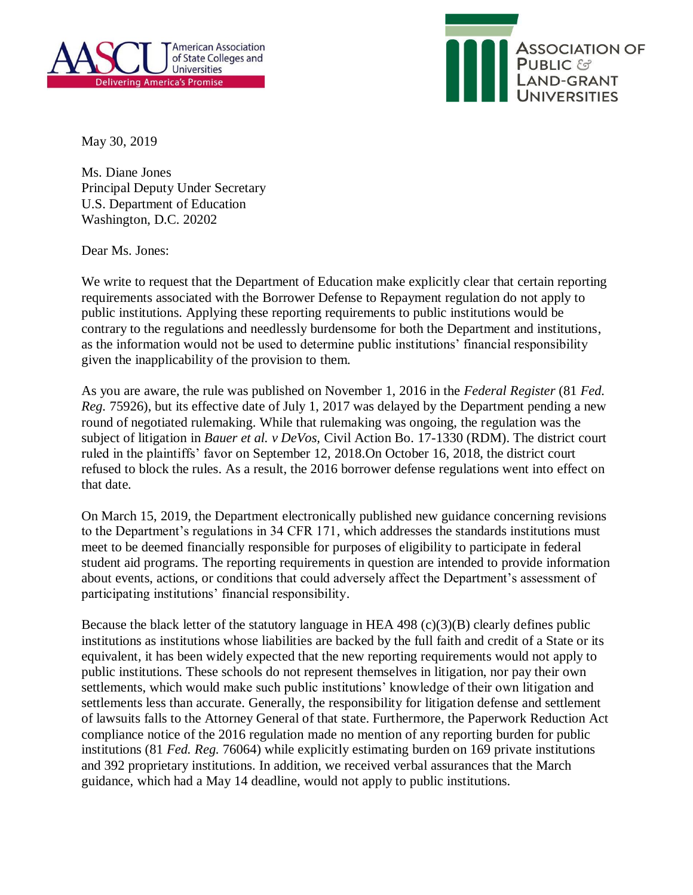



May 30, 2019

Ms. Diane Jones Principal Deputy Under Secretary U.S. Department of Education Washington, D.C. 20202

Dear Ms. Jones:

We write to request that the Department of Education make explicitly clear that certain reporting requirements associated with the Borrower Defense to Repayment regulation do not apply to public institutions. Applying these reporting requirements to public institutions would be contrary to the regulations and needlessly burdensome for both the Department and institutions, as the information would not be used to determine public institutions' financial responsibility given the inapplicability of the provision to them.

As you are aware, the rule was published on November 1, 2016 in the *Federal Register* (81 *Fed. Reg.* 75926), but its effective date of July 1, 2017 was delayed by the Department pending a new round of negotiated rulemaking. While that rulemaking was ongoing, the regulation was the subject of litigation in *Bauer et al. v DeVos,* Civil Action Bo. 17-1330 (RDM). The district court ruled in the plaintiffs' favor on September 12, 2018.On October 16, 2018, the district court refused to block the rules. As a result, the 2016 borrower defense regulations went into effect on that date.

On March 15, 2019, the Department electronically published new guidance concerning revisions to the Department's regulations in 34 CFR 171, which addresses the standards institutions must meet to be deemed financially responsible for purposes of eligibility to participate in federal student aid programs. The reporting requirements in question are intended to provide information about events, actions, or conditions that could adversely affect the Department's assessment of participating institutions' financial responsibility.

Because the black letter of the statutory language in HEA 498 (c)(3)(B) clearly defines public institutions as institutions whose liabilities are backed by the full faith and credit of a State or its equivalent, it has been widely expected that the new reporting requirements would not apply to public institutions. These schools do not represent themselves in litigation, nor pay their own settlements, which would make such public institutions' knowledge of their own litigation and settlements less than accurate. Generally, the responsibility for litigation defense and settlement of lawsuits falls to the Attorney General of that state. Furthermore, the Paperwork Reduction Act compliance notice of the 2016 regulation made no mention of any reporting burden for public institutions (81 *Fed. Reg.* 76064) while explicitly estimating burden on 169 private institutions and 392 proprietary institutions. In addition, we received verbal assurances that the March guidance, which had a May 14 deadline, would not apply to public institutions.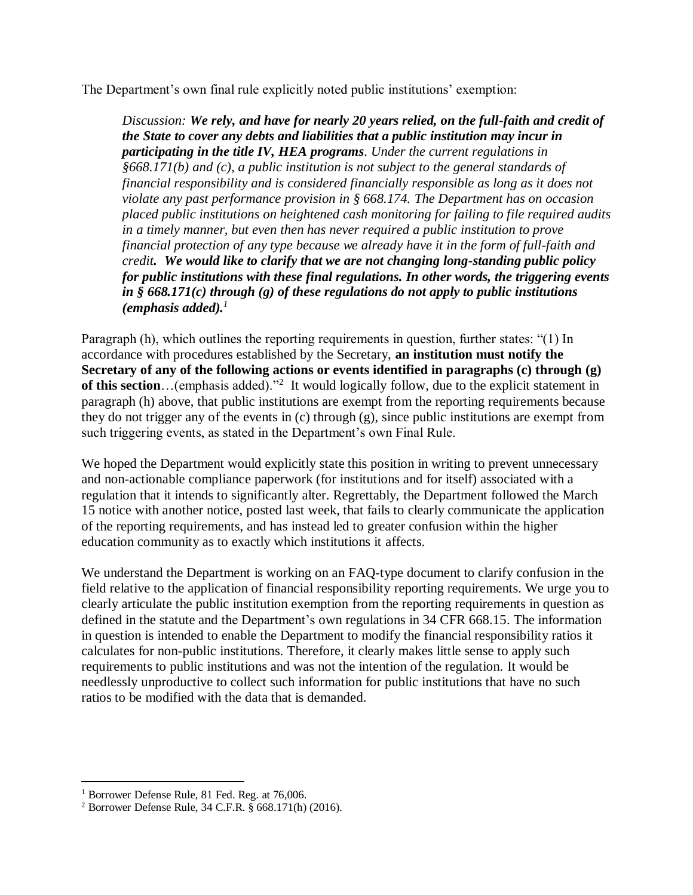The Department's own final rule explicitly noted public institutions' exemption:

*Discussion: We rely, and have for nearly 20 years relied, on the full-faith and credit of the State to cover any debts and liabilities that a public institution may incur in participating in the title IV, HEA programs. Under the current regulations in §668.171(b) and (c), a public institution is not subject to the general standards of financial responsibility and is considered financially responsible as long as it does not violate any past performance provision in § 668.174. The Department has on occasion placed public institutions on heightened cash monitoring for failing to file required audits in a timely manner, but even then has never required a public institution to prove financial protection of any type because we already have it in the form of full-faith and credit. We would like to clarify that we are not changing long-standing public policy for public institutions with these final regulations. In other words, the triggering events in § 668.171(c) through (g) of these regulations do not apply to public institutions (emphasis added).<sup>1</sup>*

Paragraph (h), which outlines the reporting requirements in question, further states: "(1) In accordance with procedures established by the Secretary, **an institution must notify the Secretary of any of the following actions or events identified in paragraphs (c) through (g)**  of this section...(emphasis added).<sup>32</sup> It would logically follow, due to the explicit statement in paragraph (h) above, that public institutions are exempt from the reporting requirements because they do not trigger any of the events in (c) through (g), since public institutions are exempt from such triggering events, as stated in the Department's own Final Rule.

We hoped the Department would explicitly state this position in writing to prevent unnecessary and non-actionable compliance paperwork (for institutions and for itself) associated with a regulation that it intends to significantly alter. Regrettably, the Department followed the March 15 notice with another notice, posted last week, that fails to clearly communicate the application of the reporting requirements, and has instead led to greater confusion within the higher education community as to exactly which institutions it affects.

We understand the Department is working on an FAQ-type document to clarify confusion in the field relative to the application of financial responsibility reporting requirements. We urge you to clearly articulate the public institution exemption from the reporting requirements in question as defined in the statute and the Department's own regulations in 34 CFR 668.15. The information in question is intended to enable the Department to modify the financial responsibility ratios it calculates for non-public institutions. Therefore, it clearly makes little sense to apply such requirements to public institutions and was not the intention of the regulation. It would be needlessly unproductive to collect such information for public institutions that have no such ratios to be modified with the data that is demanded.

 $\overline{\phantom{a}}$ <sup>1</sup> Borrower Defense Rule, 81 Fed. Reg. at 76,006.

<sup>2</sup> Borrower Defense Rule, 34 C.F.R. § 668.171(h) (2016).